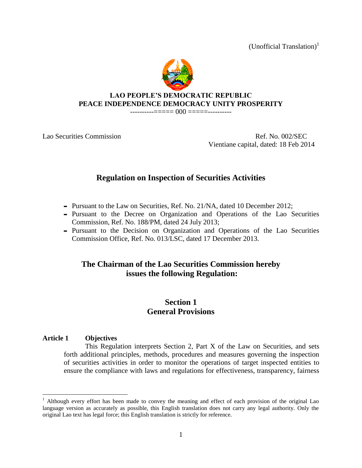(Unofficial Translation)<sup>1</sup>



#### **LAO PEOPLE'S DEMOCRATIC REPUBLIC PEACE INDEPENDENCE DEMOCRACY UNITY PROSPERITY**

-----------===== 000 =====----------

Lao Securities Commission and the commission Ref. No. 002/SEC Vientiane capital, dated: 18 Feb 2014

# **Regulation on Inspection of Securities Activities**

- Pursuant to the Law on Securities, Ref. No. 21/NA, dated 10 December 2012;
- Pursuant to the Decree on Organization and Operations of the Lao Securities Commission, Ref. No. 188/PM, dated 24 July 2013;
- Pursuant to the Decision on Organization and Operations of the Lao Securities Commission Office, Ref. No. 013/LSC, dated 17 December 2013.

# **The Chairman of the Lao Securities Commission hereby issues the following Regulation:**

# **Section 1 General Provisions**

## **Article 1 Objectives**

 $\overline{a}$ 

This Regulation interprets Section 2, Part X of the Law on Securities, and sets forth additional principles, methods, procedures and measures governing the inspection of securities activities in order to monitor the operations of target inspected entities to ensure the compliance with laws and regulations for effectiveness, transparency, fairness

 $<sup>1</sup>$  Although every effort has been made to convey the meaning and effect of each provision of the original Lao</sup> language version as accurately as possible, this English translation does not carry any legal authority. Only the original Lao text has legal force; this English translation is strictly for reference.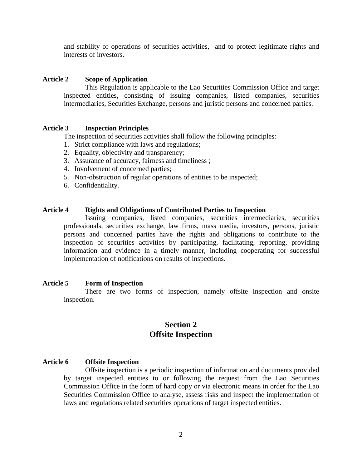and stability of operations of securities activities, and to protect legitimate rights and interests of investors.

## **Article 2 Scope of Application**

This Regulation is applicable to the Lao Securities Commission Office and target inspected entities, consisting of issuing companies, listed companies, securities intermediaries, Securities Exchange, persons and juristic persons and concerned parties.

#### **Article 3 Inspection Principles**

The inspection of securities activities shall follow the following principles:

- 1. Strict compliance with laws and regulations;
- 2. Equality, objectivity and transparency;
- 3. Assurance of accuracy, fairness and timeliness ;
- 4. Involvement of concerned parties;
- 5. Non-obstruction of regular operations of entities to be inspected;
- 6. Confidentiality.

## **Article 4 Rights and Obligations of Contributed Parties to Inspection**

Issuing companies, listed companies, securities intermediaries, securities professionals, securities exchange, law firms, mass media, investors, persons, juristic persons and concerned parties have the rights and obligations to contribute to the inspection of securities activities by participating, facilitating, reporting, providing information and evidence in a timely manner, including cooperating for successful implementation of notifications on results of inspections.

#### **Article 5 Form of Inspection**

There are two forms of inspection, namely offsite inspection and onsite inspection.

## **Section 2 Offsite Inspection**

#### **Article 6 Offsite Inspection**

Offsite inspection is a periodic inspection of information and documents provided by target inspected entities to or following the request from the Lao Securities Commission Office in the form of hard copy or via electronic means in order for the Lao Securities Commission Office to analyse, assess risks and inspect the implementation of laws and regulations related securities operations of target inspected entities.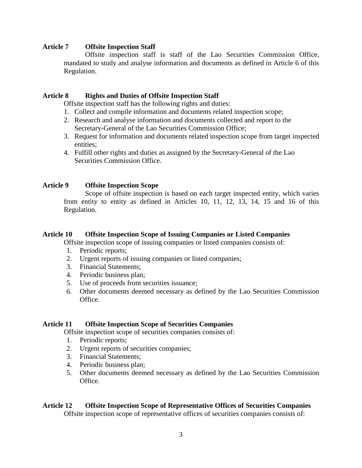## **Article 7 Offsite Inspection Staff**

Offsite inspection staff is staff of the Lao Securities Commission Office, mandated to study and analyse information and documents as defined in Article 6 of this Regulation.

#### **Article 8 Rights and Duties of Offsite Inspection Staff**

Offsite inspection staff has the following rights and duties:

- 1. Collect and compile information and documents related inspection scope;
- 2. Research and analyse information and documents collected and report to the Secretary-General of the Lao Securities Commission Office;
- 3. Request for information and documents related inspection scope from target inspected entities;
- 4. Fulfill other rights and duties as assigned by the Secretary-General of the Lao Securities Commission Office.

## **Article 9 Offsite Inspection Scope**

Scope of offsite inspection is based on each target inspected entity, which varies from entity to entity as defined in Articles 10, 11, 12, 13, 14, 15 and 16 of this Regulation.

#### **Article 10 Offsite Inspection Scope of Issuing Companies or Listed Companies**

Offsite inspection scope of issuing companies or listed companies consists of:

- 1. Periodic reports;
- 2. Urgent reports of issuing companies or listed companies;
- 3. Financial Statements;
- 4. Periodic business plan;
- 5. Use of proceeds from securities issuance;
- 6. Other documents deemed necessary as defined by the Lao Securities Commission Office.

#### **Article 11 Offsite Inspection Scope of Securities Companies**

Offsite inspection scope of securities companies consists of:

- 1. Periodic reports;
- 2. Urgent reports of securities companies;
- 3. Financial Statements;
- 4. Periodic business plan;
- 5. Other documents deemed necessary as defined by the Lao Securities Commission Office.

#### **Article 12 Offsite Inspection Scope of Representative Offices of Securities Companies**

Offsite inspection scope of representative offices of securities companies consists of: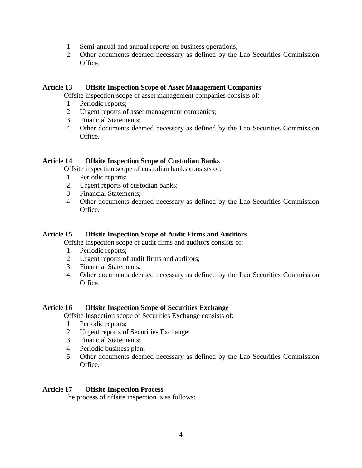- 1. Semi-annual and annual reports on business operations;
- 2. Other documents deemed necessary as defined by the Lao Securities Commission Office.

### **Article 13 Offsite Inspection Scope of Asset Management Companies**

Offsite inspection scope of asset management companies consists of:

- 1. Periodic reports;
- 2. Urgent reports of asset management companies;
- 3. Financial Statements;
- 4. Other documents deemed necessary as defined by the Lao Securities Commission Office.

#### **Article 14 Offsite Inspection Scope of Custodian Banks**

Offsite inspection scope of custodian banks consists of:

- 1. Periodic reports;
- 2. Urgent reports of custodian banks;
- 3. Financial Statements;
- 4. Other documents deemed necessary as defined by the Lao Securities Commission Office.

### **Article 15 Offsite Inspection Scope of Audit Firms and Auditors**

Offsite inspection scope of audit firms and auditors consists of:

- 1. Periodic reports;
- 2. Urgent reports of audit firms and auditors;
- 3. Financial Statements;
- 4. Other documents deemed necessary as defined by the Lao Securities Commission Office.

#### **Article 16 Offsite Inspection Scope of Securities Exchange**

Offsite Inspection scope of Securities Exchange consists of:

- 1. Periodic reports;
- 2. Urgent reports of Securities Exchange;
- 3. Financial Statements;
- 4. Periodic business plan;
- 5. Other documents deemed necessary as defined by the Lao Securities Commission Office.

#### **Article 17 Offsite Inspection Process**

The process of offsite inspection is as follows: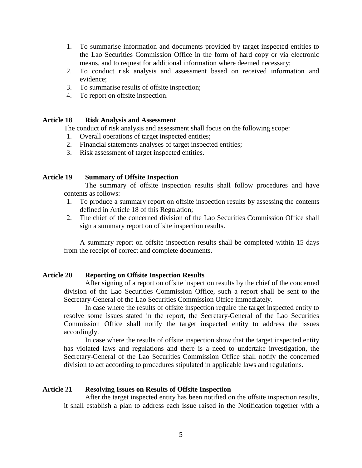- 1. To summarise information and documents provided by target inspected entities to the Lao Securities Commission Office in the form of hard copy or via electronic means, and to request for additional information where deemed necessary;
- 2. To conduct risk analysis and assessment based on received information and evidence;
- 3. To summarise results of offsite inspection;
- 4. To report on offsite inspection.

## **Article 18 Risk Analysis and Assessment**

The conduct of risk analysis and assessment shall focus on the following scope:

- 1. Overall operations of target inspected entities;
- 2. Financial statements analyses of target inspected entities;
- 3. Risk assessment of target inspected entities.

## **Article 19 Summary of Offsite Inspection**

The summary of offsite inspection results shall follow procedures and have contents as follows:

- 1. To produce a summary report on offsite inspection results by assessing the contents defined in Article 18 of this Regulation;
- 2. The chief of the concerned division of the Lao Securities Commission Office shall sign a summary report on offsite inspection results.

A summary report on offsite inspection results shall be completed within 15 days from the receipt of correct and complete documents.

#### **Article 20 Reporting on Offsite Inspection Results**

After signing of a report on offsite inspection results by the chief of the concerned division of the Lao Securities Commission Office, such a report shall be sent to the Secretary-General of the Lao Securities Commission Office immediately.

In case where the results of offsite inspection require the target inspected entity to resolve some issues stated in the report, the Secretary-General of the Lao Securities Commission Office shall notify the target inspected entity to address the issues accordingly.

In case where the results of offsite inspection show that the target inspected entity has violated laws and regulations and there is a need to undertake investigation, the Secretary-General of the Lao Securities Commission Office shall notify the concerned division to act according to procedures stipulated in applicable laws and regulations.

#### **Article 21 Resolving Issues on Results of Offsite Inspection**

After the target inspected entity has been notified on the offsite inspection results, it shall establish a plan to address each issue raised in the Notification together with a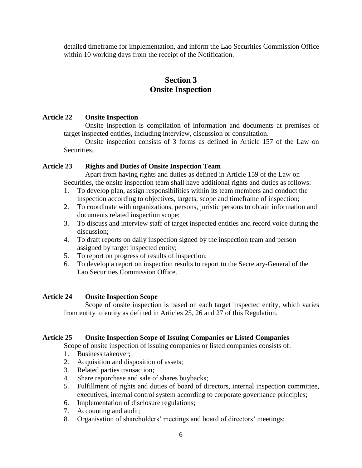detailed timeframe for implementation, and inform the Lao Securities Commission Office within 10 working days from the receipt of the Notification.

## **Section 3 Onsite Inspection**

## **Article 22 Onsite Inspection**

Onsite inspection is compilation of information and documents at premises of target inspected entities, including interview, discussion or consultation.

Onsite inspection consists of 3 forms as defined in Article 157 of the Law on Securities.

#### **Article 23 Rights and Duties of Onsite Inspection Team**

Apart from having rights and duties as defined in Article 159 of the Law on Securities, the onsite inspection team shall have additional rights and duties as follows:

- 1. To develop plan, assign responsibilities within its team members and conduct the inspection according to objectives, targets, scope and timeframe of inspection;
- 2. To coordinate with organizations, persons, juristic persons to obtain information and documents related inspection scope;
- 3. To discuss and interview staff of target inspected entities and record voice during the discussion;
- 4. To draft reports on daily inspection signed by the inspection team and person assigned by target inspected entity;
- 5. To report on progress of results of inspection;
- 6. To develop a report on inspection results to report to the Secretary-General of the Lao Securities Commission Office.

## **Article 24 Onsite Inspection Scope**

Scope of onsite inspection is based on each target inspected entity, which varies from entity to entity as defined in Articles 25, 26 and 27 of this Regulation.

## **Article 25 Onsite Inspection Scope of Issuing Companies or Listed Companies**

Scope of onsite inspection of issuing companies or listed companies consists of:

- 1. Business takeover;
- 2. Acquisition and disposition of assets;
- 3. Related parties transaction;
- 4. Share repurchase and sale of shares buybacks;
- 5. Fulfillment of rights and duties of board of directors, internal inspection committee, executives, internal control system according to corporate governance principles;
- 6. Implementation of disclosure regulations;
- 7. Accounting and audit;
- 8. Organisation of shareholders' meetings and board of directors' meetings;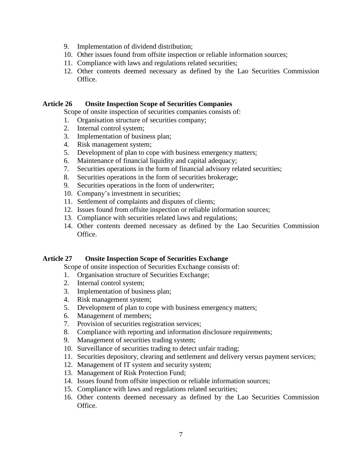- 9. Implementation of dividend distribution;
- 10. Other issues found from offsite inspection or reliable information sources;
- 11. Compliance with laws and regulations related securities;
- 12. Other contents deemed necessary as defined by the Lao Securities Commission Office.

#### **Article 26 Onsite Inspection Scope of Securities Companies**

Scope of onsite inspection of securities companies consists of:

- 1. Organisation structure of securities company;
- 2. Internal control system;
- 3. Implementation of business plan;
- 4. Risk management system;
- 5. Development of plan to cope with business emergency matters;
- 6. Maintenance of financial liquidity and capital adequacy;
- 7. Securities operations in the form of financial advisory related securities;
- 8. Securities operations in the form of securities brokerage;
- 9. Securities operations in the form of underwriter;
- 10. Company's investment in securities;
- 11. Settlement of complaints and disputes of clients;
- 12. Issues found from offsite inspection or reliable information sources;
- 13. Compliance with securities related laws and regulations;
- 14. Other contents deemed necessary as defined by the Lao Securities Commission Office.

#### **Article 27 Onsite Inspection Scope of Securities Exchange**

Scope of onsite inspection of Securities Exchange consists of:

- 1. Organisation structure of Securities Exchange;
- 2. Internal control system;
- 3. Implementation of business plan;
- 4. Risk management system;
- 5. Development of plan to cope with business emergency matters;
- 6. Management of members;
- 7. Provision of securities registration services;
- 8. Compliance with reporting and information disclosure requirements;
- 9. Management of securities trading system;
- 10. Surveillance of securities trading to detect unfair trading;
- 11. Securities depository, clearing and settlement and delivery versus payment services;
- 12. Management of IT system and security system;
- 13. Management of Risk Protection Fund;
- 14. Issues found from offsite inspection or reliable information sources;
- 15. Compliance with laws and regulations related securities;
- 16. Other contents deemed necessary as defined by the Lao Securities Commission Office.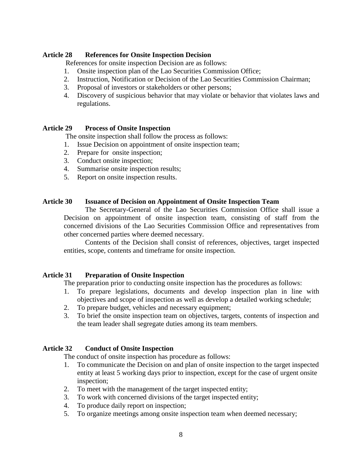### **Article 28 References for Onsite Inspection Decision**

References for onsite inspection Decision are as follows:

- 1. Onsite inspection plan of the Lao Securities Commission Office;
- 2. Instruction, Notification or Decision of the Lao Securities Commission Chairman;
- 3. Proposal of investors or stakeholders or other persons;
- 4. Discovery of suspicious behavior that may violate or behavior that violates laws and regulations.

#### **Article 29 Process of Onsite Inspection**

The onsite inspection shall follow the process as follows:

- 1. Issue Decision on appointment of onsite inspection team;
- 2. Prepare for onsite inspection;
- 3. Conduct onsite inspection;
- 4. Summarise onsite inspection results;
- 5. Report on onsite inspection results.

#### **Article 30 Issuance of Decision on Appointment of Onsite Inspection Team**

The Secretary-General of the Lao Securities Commission Office shall issue a Decision on appointment of onsite inspection team, consisting of staff from the concerned divisions of the Lao Securities Commission Office and representatives from other concerned parties where deemed necessary.

Contents of the Decision shall consist of references, objectives, target inspected entities, scope, contents and timeframe for onsite inspection.

#### **Article 31 Preparation of Onsite Inspection**

The preparation prior to conducting onsite inspection has the procedures as follows:

- 1. To prepare legislations, documents and develop inspection plan in line with objectives and scope of inspection as well as develop a detailed working schedule;
- 2. To prepare budget, vehicles and necessary equipment;
- 3. To brief the onsite inspection team on objectives, targets, contents of inspection and the team leader shall segregate duties among its team members.

#### **Article 32 Conduct of Onsite Inspection**

The conduct of onsite inspection has procedure as follows:

- 1. To communicate the Decision on and plan of onsite inspection to the target inspected entity at least 5 working days prior to inspection, except for the case of urgent onsite inspection;
- 2. To meet with the management of the target inspected entity;
- 3. To work with concerned divisions of the target inspected entity;
- 4. To produce daily report on inspection;
- 5. To organize meetings among onsite inspection team when deemed necessary;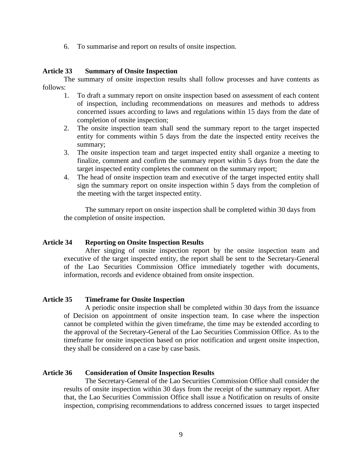6. To summarise and report on results of onsite inspection.

#### **Article 33 Summary of Onsite Inspection**

The summary of onsite inspection results shall follow processes and have contents as follows:

- 1. To draft a summary report on onsite inspection based on assessment of each content of inspection, including recommendations on measures and methods to address concerned issues according to laws and regulations within 15 days from the date of completion of onsite inspection;
- 2. The onsite inspection team shall send the summary report to the target inspected entity for comments within 5 days from the date the inspected entity receives the summary;
- 3. The onsite inspection team and target inspected entity shall organize a meeting to finalize, comment and confirm the summary report within 5 days from the date the target inspected entity completes the comment on the summary report;
- 4. The head of onsite inspection team and executive of the target inspected entity shall sign the summary report on onsite inspection within 5 days from the completion of the meeting with the target inspected entity.

The summary report on onsite inspection shall be completed within 30 days from the completion of onsite inspection.

#### **Article 34 Reporting on Onsite Inspection Results**

After singing of onsite inspection report by the onsite inspection team and executive of the target inspected entity, the report shall be sent to the Secretary-General of the Lao Securities Commission Office immediately together with documents, information, records and evidence obtained from onsite inspection.

#### **Article 35 Timeframe for Onsite Inspection**

A periodic onsite inspection shall be completed within 30 days from the issuance of Decision on appointment of onsite inspection team. In case where the inspection cannot be completed within the given timeframe, the time may be extended according to the approval of the Secretary-General of the Lao Securities Commission Office. As to the timeframe for onsite inspection based on prior notification and urgent onsite inspection, they shall be considered on a case by case basis.

#### **Article 36 Consideration of Onsite Inspection Results**

The Secretary-General of the Lao Securities Commission Office shall consider the results of onsite inspection within 30 days from the receipt of the summary report. After that, the Lao Securities Commission Office shall issue a Notification on results of onsite inspection, comprising recommendations to address concerned issues to target inspected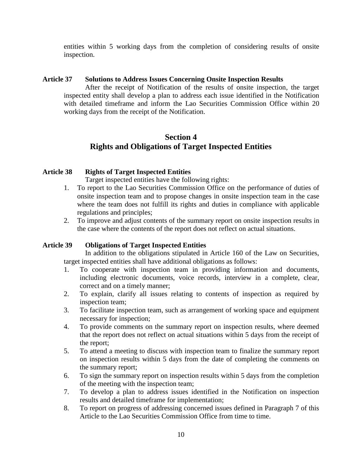entities within 5 working days from the completion of considering results of onsite inspection.

## **Article 37 Solutions to Address Issues Concerning Onsite Inspection Results**

After the receipt of Notification of the results of onsite inspection, the target inspected entity shall develop a plan to address each issue identified in the Notification with detailed timeframe and inform the Lao Securities Commission Office within 20 working days from the receipt of the Notification.

## **Section 4 Rights and Obligations of Target Inspected Entities**

## **Article 38 Rights of Target Inspected Entities**

Target inspected entities have the following rights:

- 1. To report to the Lao Securities Commission Office on the performance of duties of onsite inspection team and to propose changes in onsite inspection team in the case where the team does not fulfill its rights and duties in compliance with applicable regulations and principles;
- 2. To improve and adjust contents of the summary report on onsite inspection results in the case where the contents of the report does not reflect on actual situations.

## **Article 39 Obligations of Target Inspected Entities**

In addition to the obligations stipulated in Article 160 of the Law on Securities, target inspected entities shall have additional obligations as follows:

- 1. To cooperate with inspection team in providing information and documents, including electronic documents, voice records, interview in a complete, clear, correct and on a timely manner;
- 2. To explain, clarify all issues relating to contents of inspection as required by inspection team;
- 3. To facilitate inspection team, such as arrangement of working space and equipment necessary for inspection;
- 4. To provide comments on the summary report on inspection results, where deemed that the report does not reflect on actual situations within 5 days from the receipt of the report;
- 5. To attend a meeting to discuss with inspection team to finalize the summary report on inspection results within 5 days from the date of completing the comments on the summary report;
- 6. To sign the summary report on inspection results within 5 days from the completion of the meeting with the inspection team;
- 7. To develop a plan to address issues identified in the Notification on inspection results and detailed timeframe for implementation;
- 8. To report on progress of addressing concerned issues defined in Paragraph 7 of this Article to the Lao Securities Commission Office from time to time.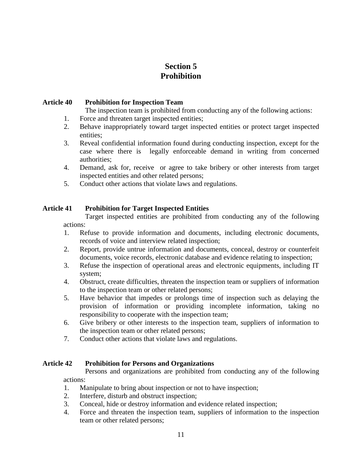# **Section 5 Prohibition**

## **Article 40 Prohibition for Inspection Team**

The inspection team is prohibited from conducting any of the following actions:

- 1. Force and threaten target inspected entities;
- 2. Behave inappropriately toward target inspected entities or protect target inspected entities;
- 3. Reveal confidential information found during conducting inspection, except for the case where there is legally enforceable demand in writing from concerned authorities;
- 4. Demand, ask for, receive or agree to take bribery or other interests from target inspected entities and other related persons;
- 5. Conduct other actions that violate laws and regulations.

## **Article 41 Prohibition for Target Inspected Entities**

Target inspected entities are prohibited from conducting any of the following actions:

- 1. Refuse to provide information and documents, including electronic documents, records of voice and interview related inspection;
- 2. Report, provide untrue information and documents, conceal, destroy or counterfeit documents, voice records, electronic database and evidence relating to inspection;
- 3. Refuse the inspection of operational areas and electronic equipments, including IT system;
- 4. Obstruct, create difficulties, threaten the inspection team or suppliers of information to the inspection team or other related persons;
- 5. Have behavior that impedes or prolongs time of inspection such as delaying the provision of information or providing incomplete information, taking no responsibility to cooperate with the inspection team;
- 6. Give bribery or other interests to the inspection team, suppliers of information to the inspection team or other related persons;
- 7. Conduct other actions that violate laws and regulations.

#### **Article 42 Prohibition for Persons and Organizations**

Persons and organizations are prohibited from conducting any of the following actions:

- 1. Manipulate to bring about inspection or not to have inspection;
- 2. Interfere, disturb and obstruct inspection;
- 3. Conceal, hide or destroy information and evidence related inspection;
- 4. Force and threaten the inspection team, suppliers of information to the inspection team or other related persons;